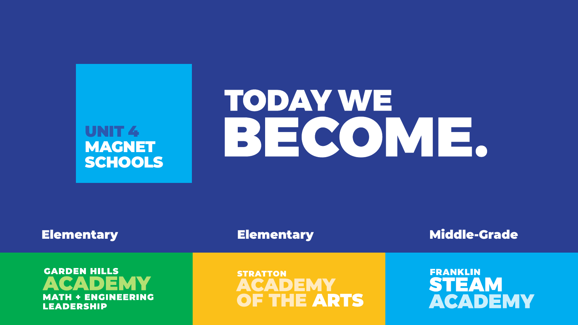# UNIT<sub>4</sub> MAGNET **SCHOOLS**

**GARDEN HILLS** ACADEMY **MATH + ENGINEERING** LEADERSHIP

# TODAY WE BECOME.

# Elementary Elementary Rementary Middle-Grade

## **STRATTON** ACADEMY OF THE ARTS

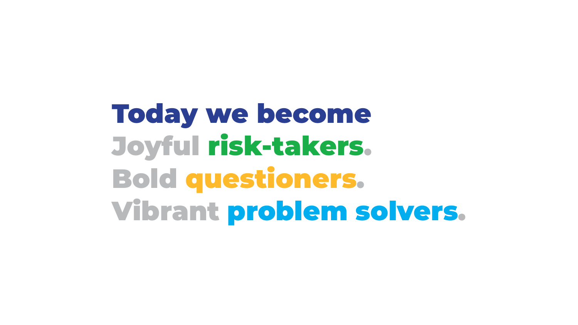# Today we become Joyful risk-takers. Bold questioners. Vibrant problem solvers.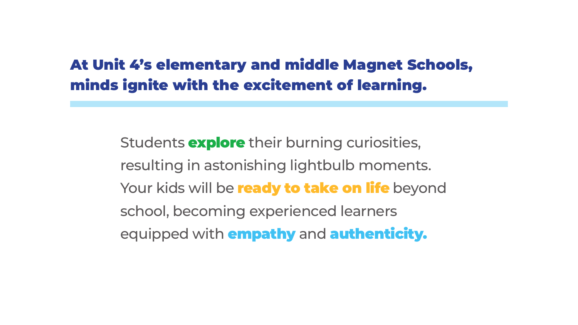resulting in astonishing lightbulb moments. Your kids will be ready to take on life beyond

Students **explore** their burning curiosities, school, becoming experienced learners equipped with empathy and authenticity.

# At Unit 4's elementary and middle Magnet Schools, minds ignite with the excitement of learning.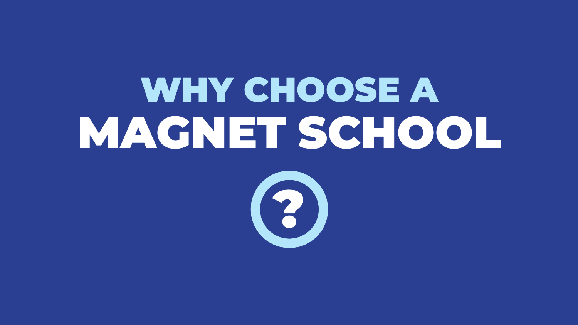# WHY CHOOSE A MAGNET SCHOOL

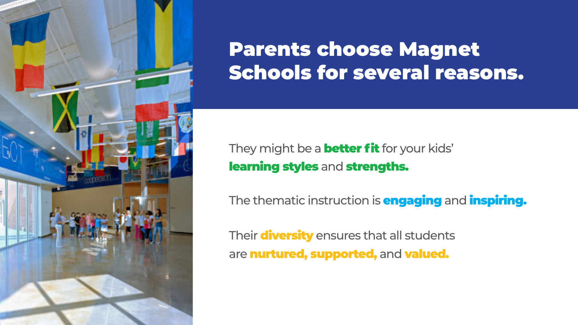

# Parents choose Magnet Schools for several reasons.

- They might be a **better fit** for your kids' learning styles and strengths.
- The thematic instruction is **engaging** and **inspiring.**
- Their diversity ensures that all students are nurtured, supported, and valued.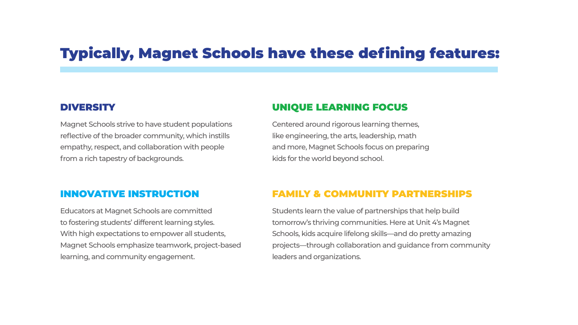# Typically, Magnet Schools have these defining features:

#### DIVERSITY

Magnet Schools strive to have student populations reflective of the broader community, which instills empathy, respect, and collaboration with people from a rich tapestry of backgrounds.

#### UNIQUE LEARNING FOCUS

Centered around rigorous learning themes, like engineering, the arts, leadership, math and more, Magnet Schools focus on preparing kids for the world beyond school.

#### INNOVATIVE INSTRUCTION

Educators at Magnet Schools are committed to fostering students' different learning styles. With high expectations to empower all students, Magnet Schools emphasize teamwork, project-based learning, and community engagement.

#### FAMILY & COMMUNITY PARTNERSHIPS

Students learn the value of partnerships that help build tomorrow's thriving communities. Here at Unit 4's Magnet Schools, kids acquire lifelong skills—and do pretty amazing projects—through collaboration and guidance from community leaders and organizations.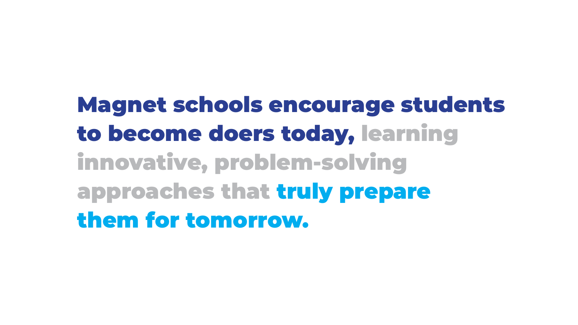# Magnet schools encourage students

to become doers today, learning innovative, problem-solving approaches that truly prepare them for tomorrow.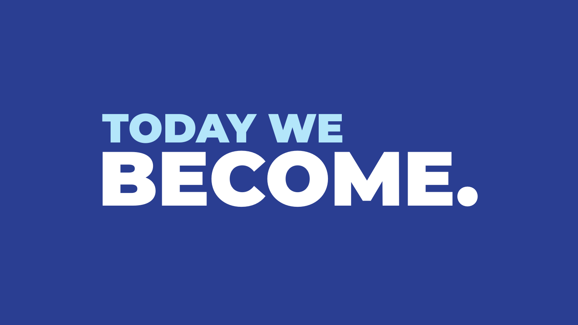

# TODAY WE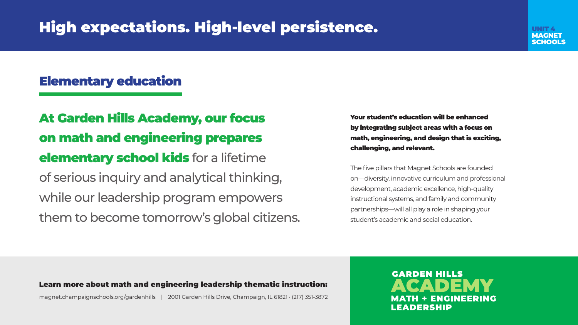# High expectations. High-level persistence.

## Elementary education

At Garden Hills Academy, our focus on math and engineering prepares elementary school kids for a lifetime of serious inquiry and analytical thinking, while our leadership program empowers them to become tomorrow's global citizens.

Your student's education will be enhanced by integrating subject areas with a focus on math, engineering, and design that is exciting, challenging, and relevant.

The five pillars that Magnet Schools are founded on—diversity, innovative curriculum and professional development, academic excellence, high-quality instructional systems, and family and community partnerships—will all play a role in shaping your student's academic and social education.

> **GARDEN HILLS** ACADEMY **MATH + ENGINEERING LEADERSHIP**

#### Learn more about math and engineering leadership thematic instruction:

magnet.champaignschools.org/gardenhills | 2001 Garden Hills Drive, Champaign, IL 61821 · (217) 351-3872

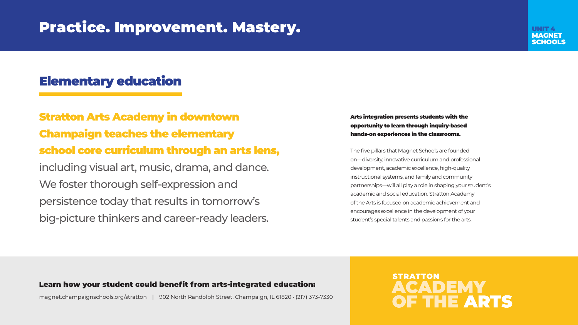# Practice. Improvement. Mastery.

Stratton Arts Academy in downtown Champaign teaches the elementary school core curriculum through an arts lens, including visual art, music, drama, and dance. We foster thorough self-expression and persistence today that results in tomorrow's big-picture thinkers and career-ready leaders.

#### Arts integration presents students with the opportunity to learn through inquiry-based hands-on experiences in the classrooms.

The five pillars that Magnet Schools are founded on—diversity, innovative curriculum and professional development, academic excellence, high-quality instructional systems, and family and community partnerships—will all play a role in shaping your student's academic and social education. Stratton Academy of the Arts is focused on academic achievement and encourages excellence in the development of your student's special talents and passions for the arts.

### **STRATTON** ACADEMY OF THE ARTS

#### Learn how your student could benefit from arts-integrated education:

magnet.champaignschools.org/stratton | 902 North Randolph Street, Champaign, IL 61820 · (217) 373-7330



## Elementary education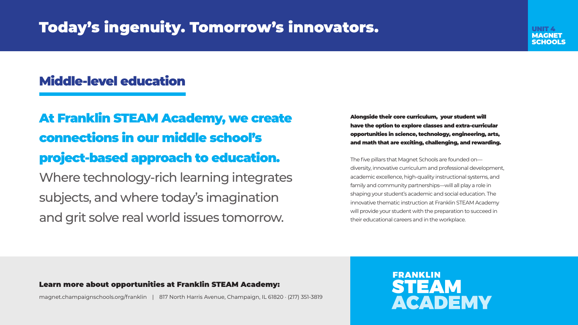# Today's ingenuity. Tomorrow's innovators.

# Middle-level education

At Franklin STEAM Academy, we create connections in our middle school's project-based approach to education. Where technology-rich learning integrates subjects, and where today's imagination and grit solve real world issues tomorrow.

Alongside their core curriculum, your student will have the option to explore classes and extra-curricular opportunities in science, technology, engineering, arts, and math that are exciting, challenging, and rewarding.

The five pillars that Magnet Schools are founded on diversity, innovative curriculum and professional development, academic excellence, high-quality instructional systems, and family and community partnerships—will all play a role in shaping your student's academic and social education. The innovative thematic instruction at Franklin STEAM Academy will provide your student with the preparation to succeed in their educational careers and in the workplace.



#### Learn more about opportunities at Franklin STEAM Academy:

magnet.champaignschools.org/franklin | 817 North Harris Avenue, Champaign, IL 61820 · (217) 351-3819

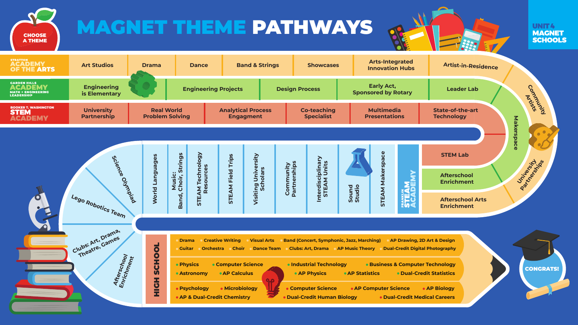# MAGNET THEME PATHWAYS







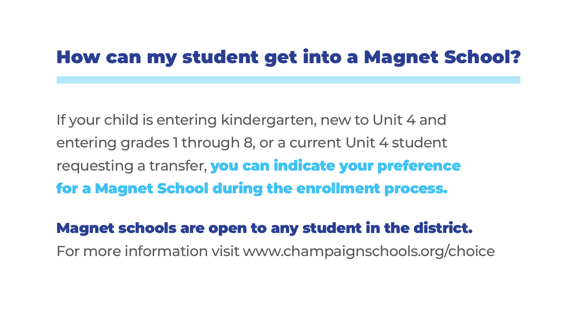If your child is entering kindergarten, new to Unit 4 and entering grades 1 through 8, or a current Unit 4 student requesting a transfer, you can indicate your preference for a Magnet School during the enrollment process.

# Magnet schools are open to any student in the district. For more information visit www.champaignschools.org/choice

# How can my student get into a Magnet School?